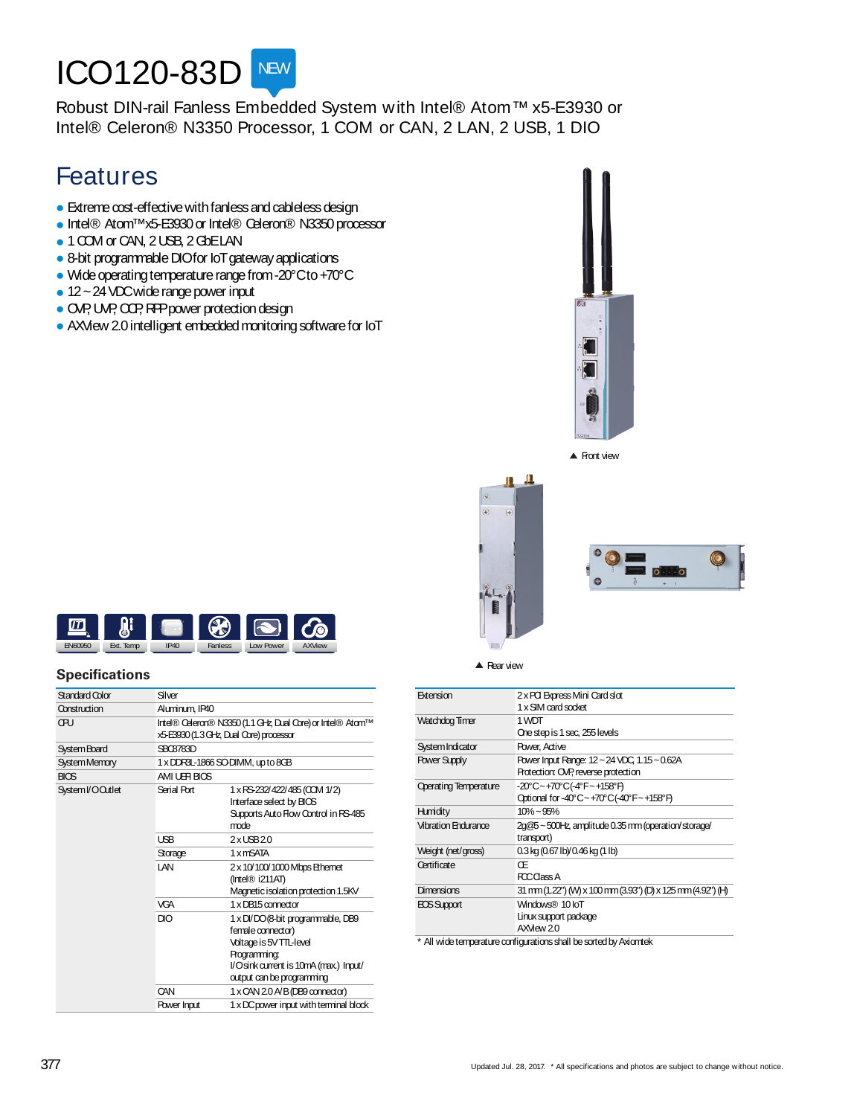# **ICO120-83D** NEW

Robust DIN-rail Fanless Embedded System with Intel® Atom™ x5-E3930 or Intel® Celeron® N3350 Processor, 1 COM or CAN, 2 LAN, 2 USB, 1 DIO

## Features

- $\bullet$  Extreme cost-effective with fanless and cableless design
- Intel® Atom™x5-E3930 or Intel® Celeron® N3350 processor
- 1 COM or CAN, 2 USB, 2 GbELAN
- 8-bit programmable DIOfor IoT gateway applications
- Wide operating temperature range from -20°Cto +70°C
- $\bullet$  12 ~ 24 VDC wide range power input
- OVP, UVP, CCP, RPP power protection design
- AXView 2.0 intelligent embedded monitoring software for IoT



▲ Front view



#### **Specifications**

| Standard Color      | Silver         |                                                                                                                                                                          |  |
|---------------------|----------------|--------------------------------------------------------------------------------------------------------------------------------------------------------------------------|--|
| Construction        | Aluminum, IP40 |                                                                                                                                                                          |  |
| ŒU                  |                | Intel® Celeron® N3350 (1.1 GHz, Dual Core) or Intel® Atom™<br>x5-E3930 (1.3 GHz, Dual Core) processor                                                                    |  |
| <b>System Board</b> | SBC8783D       |                                                                                                                                                                          |  |
| System Memory       |                | 1 x DDR3L-1866 SO-DIMM, up to 8GB                                                                                                                                        |  |
| <b>BIOS</b>         | AMIUER BIOS    |                                                                                                                                                                          |  |
| System I/O Outlet   | Serial Port    | 1 x RS-232/422/485 (CCM 1/2)<br>Interface select by BICS<br>Supports Auto Flow Control in RS-485<br>mode                                                                 |  |
|                     | <b>USB</b>     | $2x$ LSB $20$                                                                                                                                                            |  |
|                     | Storage        | 1 x mSATA                                                                                                                                                                |  |
|                     | I AN           | 2 x 10/100/1000 Mbps Ethernet<br>$($ Intel $\circledR$ i211AT)<br>Magnetic isolation protection 1.5KV                                                                    |  |
|                     | <b>VGA</b>     | 1 x DB15 connector                                                                                                                                                       |  |
|                     | DIO            | 1 x DI/DO (8-bit programmable, DB9<br>female connector)<br>Voltage is 5V TTL-level<br>Programming:<br>l/Osink current is 10mA (max.) Input/<br>output can be programming |  |
|                     | CAN            | $1 \times$ CAN 2.0 A/B (DB9 connector)                                                                                                                                   |  |
|                     | Power Input    | 1 x DC power input with terminal block                                                                                                                                   |  |

| $\triangle$ Rear view | $\cdot$ 0<br>市<br>÷                                   |  |
|-----------------------|-------------------------------------------------------|--|
|                       | 2 x PCI Express Mini Card slot<br>1 x SIM card socket |  |
| mer                   | 1 WDT                                                 |  |
|                       | One step is 1 sec, 255 levels                         |  |
| ator                  | Power, Active                                         |  |
|                       |                                                       |  |

| Extension                    | 2 x PCI Express Mini Card slot<br>1 x SIM card socket                               |
|------------------------------|-------------------------------------------------------------------------------------|
| Watchdog Timer               | 1 WDT<br>One step is 1 sec, 255 levels                                              |
| System Indicator             | Power, Active                                                                       |
| <b>Power Supply</b>          | Power Input Range: 12 ~ 24 VDC, 1.15 ~ 0.62A<br>Protection: OVP, reverse protection |
| <b>Operating Temperature</b> | -20°C~+70°C(-4°F~+158°F)<br>Qotional for -40°C~+70°C(-40°F~+158°F)                  |
| Humidity                     | $10\% - 95\%$                                                                       |
| Vibration Endurance          | 2g@5~500Hz, amplitude 0.35 mm (operation/storage/<br>transport)                     |
| Weight (net/gross)           | 0.3 kg (0.67 lb)/0.46 kg (1 lb)                                                     |
| Certificate                  | Œ<br>FCC Class A                                                                    |
| Dimensions                   | 31 mm (1.22") (W) x 100 mm (3.93") (D) x 125 mm (4.92") (H)                         |
| EOS Support                  | Windows® 10 IoT<br>Linux support package<br>AXMew 2.0                               |
|                              | * All wide temperature configurations shall be sorted by Axiomtek                   |